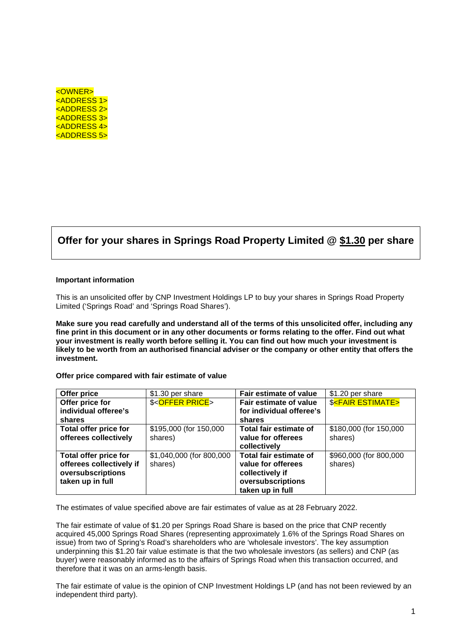| <owner></owner>                 |  |
|---------------------------------|--|
| <u><address 1=""></address></u> |  |
| <u><address 2=""></address></u> |  |
| <u><address 3=""></address></u> |  |
| <u><address 4=""></address></u> |  |
| <address 5=""></address>        |  |

# **Offer for your shares in Springs Road Property Limited @ \$1.30 per share**

#### **Important information**

This is an unsolicited offer by CNP Investment Holdings LP to buy your shares in Springs Road Property Limited ('Springs Road' and 'Springs Road Shares').

**Make sure you read carefully and understand all of the terms of this unsolicited offer, including any fine print in this document or in any other documents or forms relating to the offer. Find out what your investment is really worth before selling it. You can find out how much your investment is likely to be worth from an authorised financial adviser or the company or other entity that offers the investment.** 

**Offer price compared with fair estimate of value** 

| Offer price              | \$1.30 per share                  | Fair estimate of value   | \$1.20 per share                   |
|--------------------------|-----------------------------------|--------------------------|------------------------------------|
| Offer price for          | <b>\$<offer price=""></offer></b> | Fair estimate of value   | <b>\$<fair estimate=""></fair></b> |
| individual offeree's     |                                   | for individual offeree's |                                    |
| shares                   |                                   | shares                   |                                    |
| Total offer price for    | \$195,000 (for 150,000            | Total fair estimate of   | \$180,000 (for 150,000             |
| offerees collectively    | shares)                           | value for offerees       | shares)                            |
|                          |                                   | collectively             |                                    |
| Total offer price for    | \$1,040,000 (for 800,000          | Total fair estimate of   | \$960,000 (for 800,000             |
| offerees collectively if | shares)                           | value for offerees       | shares)                            |
| oversubscriptions        |                                   | collectively if          |                                    |
| taken up in full         |                                   | oversubscriptions        |                                    |
|                          |                                   | taken up in full         |                                    |

The estimates of value specified above are fair estimates of value as at 28 February 2022.

The fair estimate of value of \$1.20 per Springs Road Share is based on the price that CNP recently acquired 45,000 Springs Road Shares (representing approximately 1.6% of the Springs Road Shares on issue) from two of Spring's Road's shareholders who are 'wholesale investors'. The key assumption underpinning this \$1.20 fair value estimate is that the two wholesale investors (as sellers) and CNP (as buyer) were reasonably informed as to the affairs of Springs Road when this transaction occurred, and therefore that it was on an arms-length basis.

The fair estimate of value is the opinion of CNP Investment Holdings LP (and has not been reviewed by an independent third party).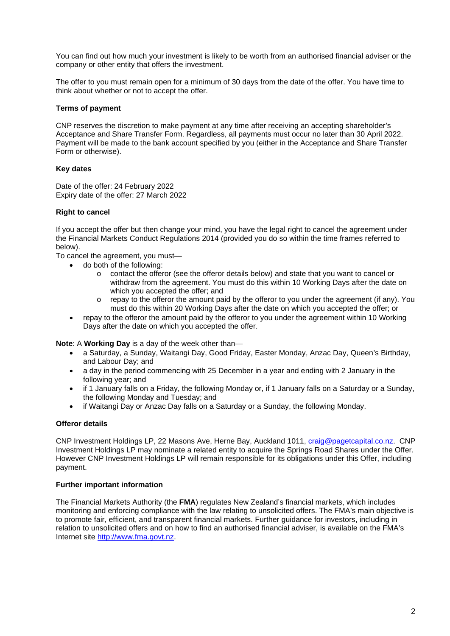You can find out how much your investment is likely to be worth from an authorised financial adviser or the company or other entity that offers the investment.

The offer to you must remain open for a minimum of 30 days from the date of the offer. You have time to think about whether or not to accept the offer.

## **Terms of payment**

CNP reserves the discretion to make payment at any time after receiving an accepting shareholder's Acceptance and Share Transfer Form. Regardless, all payments must occur no later than 30 April 2022. Payment will be made to the bank account specified by you (either in the Acceptance and Share Transfer Form or otherwise).

## **Key dates**

Date of the offer: 24 February 2022 Expiry date of the offer: 27 March 2022

#### **Right to cancel**

If you accept the offer but then change your mind, you have the legal right to cancel the agreement under the Financial Markets Conduct Regulations 2014 (provided you do so within the time frames referred to below).

To cancel the agreement, you must—

- do both of the following:
	- o contact the offeror (see the offeror details below) and state that you want to cancel or withdraw from the agreement. You must do this within 10 Working Days after the date on which you accepted the offer; and
	- $\circ$  repay to the offeror the amount paid by the offeror to you under the agreement (if any). You must do this within 20 Working Days after the date on which you accepted the offer; or
- repay to the offeror the amount paid by the offeror to you under the agreement within 10 Working Days after the date on which you accepted the offer.

#### **Note**: A **Working Day** is a day of the week other than—

- a Saturday, a Sunday, Waitangi Day, Good Friday, Easter Monday, Anzac Day, Queen's Birthday, and Labour Day; and
- a day in the period commencing with 25 December in a year and ending with 2 January in the following year; and
- if 1 January falls on a Friday, the following Monday or, if 1 January falls on a Saturday or a Sunday, the following Monday and Tuesday; and
- if Waitangi Day or Anzac Day falls on a Saturday or a Sunday, the following Monday.

#### **Offeror details**

CNP Investment Holdings LP, 22 Masons Ave, Herne Bay, Auckland 1011, craig@pagetcapital.co.nz. CNP Investment Holdings LP may nominate a related entity to acquire the Springs Road Shares under the Offer. However CNP Investment Holdings LP will remain responsible for its obligations under this Offer, including payment.

#### **Further important information**

The Financial Markets Authority (the **FMA**) regulates New Zealand's financial markets, which includes monitoring and enforcing compliance with the law relating to unsolicited offers. The FMA's main objective is to promote fair, efficient, and transparent financial markets. Further guidance for investors, including in relation to unsolicited offers and on how to find an authorised financial adviser, is available on the FMA's Internet site http://www.fma.govt.nz.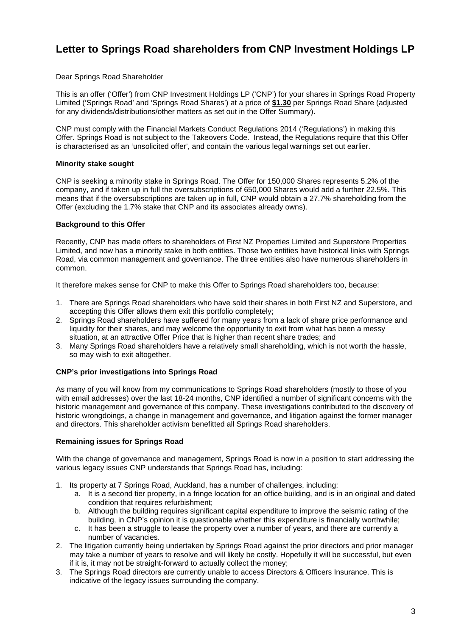# **Letter to Springs Road shareholders from CNP Investment Holdings LP**

## Dear Springs Road Shareholder

This is an offer ('Offer') from CNP Investment Holdings LP ('CNP') for your shares in Springs Road Property Limited ('Springs Road' and 'Springs Road Shares') at a price of **\$1.30** per Springs Road Share (adjusted for any dividends/distributions/other matters as set out in the Offer Summary).

CNP must comply with the Financial Markets Conduct Regulations 2014 ('Regulations') in making this Offer. Springs Road is not subject to the Takeovers Code. Instead, the Regulations require that this Offer is characterised as an 'unsolicited offer', and contain the various legal warnings set out earlier.

## **Minority stake sought**

CNP is seeking a minority stake in Springs Road. The Offer for 150,000 Shares represents 5.2% of the company, and if taken up in full the oversubscriptions of 650,000 Shares would add a further 22.5%. This means that if the oversubscriptions are taken up in full, CNP would obtain a 27.7% shareholding from the Offer (excluding the 1.7% stake that CNP and its associates already owns).

## **Background to this Offer**

Recently, CNP has made offers to shareholders of First NZ Properties Limited and Superstore Properties Limited, and now has a minority stake in both entities. Those two entities have historical links with Springs Road, via common management and governance. The three entities also have numerous shareholders in common.

It therefore makes sense for CNP to make this Offer to Springs Road shareholders too, because:

- 1. There are Springs Road shareholders who have sold their shares in both First NZ and Superstore, and accepting this Offer allows them exit this portfolio completely;
- 2. Springs Road shareholders have suffered for many years from a lack of share price performance and liquidity for their shares, and may welcome the opportunity to exit from what has been a messy situation, at an attractive Offer Price that is higher than recent share trades; and
- 3. Many Springs Road shareholders have a relatively small shareholding, which is not worth the hassle, so may wish to exit altogether.

#### **CNP's prior investigations into Springs Road**

As many of you will know from my communications to Springs Road shareholders (mostly to those of you with email addresses) over the last 18-24 months, CNP identified a number of significant concerns with the historic management and governance of this company. These investigations contributed to the discovery of historic wrongdoings, a change in management and governance, and litigation against the former manager and directors. This shareholder activism benefitted all Springs Road shareholders.

#### **Remaining issues for Springs Road**

With the change of governance and management, Springs Road is now in a position to start addressing the various legacy issues CNP understands that Springs Road has, including:

- 1. Its property at 7 Springs Road, Auckland, has a number of challenges, including:
	- a. It is a second tier property, in a fringe location for an office building, and is in an original and dated condition that requires refurbishment;
	- b. Although the building requires significant capital expenditure to improve the seismic rating of the building, in CNP's opinion it is questionable whether this expenditure is financially worthwhile;
	- c. It has been a struggle to lease the property over a number of years, and there are currently a number of vacancies.
- 2. The litigation currently being undertaken by Springs Road against the prior directors and prior manager may take a number of years to resolve and will likely be costly. Hopefully it will be successful, but even if it is, it may not be straight-forward to actually collect the money;
- 3. The Springs Road directors are currently unable to access Directors & Officers Insurance. This is indicative of the legacy issues surrounding the company.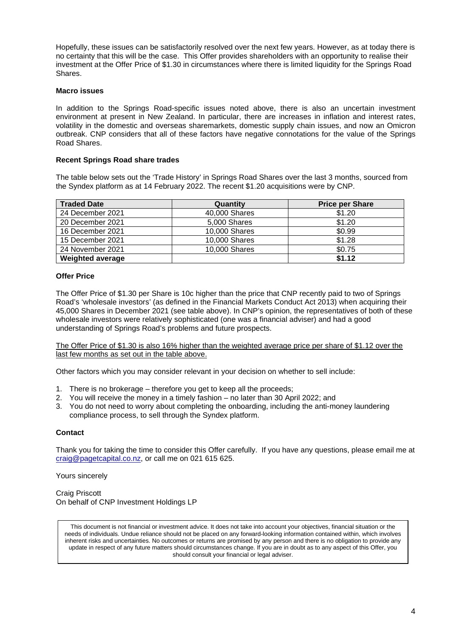Hopefully, these issues can be satisfactorily resolved over the next few years. However, as at today there is no certainty that this will be the case. This Offer provides shareholders with an opportunity to realise their investment at the Offer Price of \$1.30 in circumstances where there is limited liquidity for the Springs Road Shares.

## **Macro issues**

In addition to the Springs Road-specific issues noted above, there is also an uncertain investment environment at present in New Zealand. In particular, there are increases in inflation and interest rates, volatility in the domestic and overseas sharemarkets, domestic supply chain issues, and now an Omicron outbreak. CNP considers that all of these factors have negative connotations for the value of the Springs Road Shares.

#### **Recent Springs Road share trades**

The table below sets out the 'Trade History' in Springs Road Shares over the last 3 months, sourced from the Syndex platform as at 14 February 2022. The recent \$1.20 acquisitions were by CNP.

| <b>Traded Date</b>      | Quantity      | <b>Price per Share</b> |  |
|-------------------------|---------------|------------------------|--|
| 24 December 2021        | 40,000 Shares | \$1.20                 |  |
| 20 December 2021        | 5,000 Shares  | \$1.20                 |  |
| 16 December 2021        | 10,000 Shares | \$0.99                 |  |
| 15 December 2021        | 10,000 Shares | \$1.28                 |  |
| 24 November 2021        | 10,000 Shares | \$0.75                 |  |
| <b>Weighted average</b> |               | \$1.12                 |  |

## **Offer Price**

The Offer Price of \$1.30 per Share is 10c higher than the price that CNP recently paid to two of Springs Road's 'wholesale investors' (as defined in the Financial Markets Conduct Act 2013) when acquiring their 45,000 Shares in December 2021 (see table above). In CNP's opinion, the representatives of both of these wholesale investors were relatively sophisticated (one was a financial adviser) and had a good understanding of Springs Road's problems and future prospects.

The Offer Price of \$1.30 is also 16% higher than the weighted average price per share of \$1.12 over the last few months as set out in the table above.

Other factors which you may consider relevant in your decision on whether to sell include:

- 1. There is no brokerage therefore you get to keep all the proceeds;
- 2. You will receive the money in a timely fashion no later than 30 April 2022; and
- 3. You do not need to worry about completing the onboarding, including the anti-money laundering compliance process, to sell through the Syndex platform.

#### **Contact**

Thank you for taking the time to consider this Offer carefully. If you have any questions, please email me at craig@pagetcapital.co.nz, or call me on 021 615 625.

Yours sincerely

Craig Priscott On behalf of CNP Investment Holdings LP

This document is not financial or investment advice. It does not take into account your objectives, financial situation or the needs of individuals. Undue reliance should not be placed on any forward-looking information contained within, which involves inherent risks and uncertainties. No outcomes or returns are promised by any person and there is no obligation to provide any update in respect of any future matters should circumstances change. If you are in doubt as to any aspect of this Offer, you should consult your financial or legal adviser.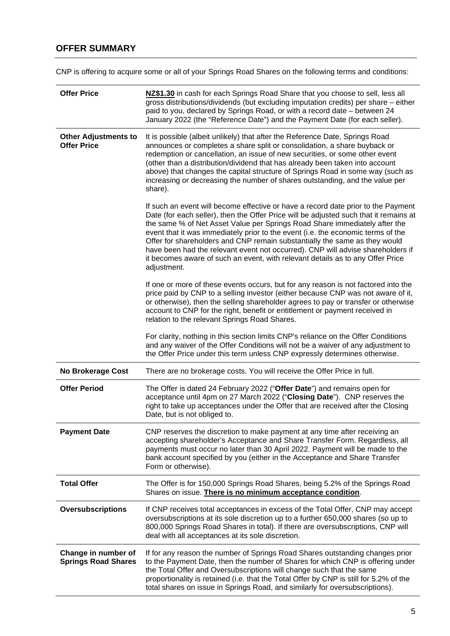CNP is offering to acquire some or all of your Springs Road Shares on the following terms and conditions:

| <b>Offer Price</b>                                | NZ\$1.30 in cash for each Springs Road Share that you choose to sell, less all<br>gross distributions/dividends (but excluding imputation credits) per share - either<br>paid to you, declared by Springs Road, or with a record date - between 24<br>January 2022 (the "Reference Date") and the Payment Date (for each seller).                                                                                                                                                                                                                                                                              |
|---------------------------------------------------|----------------------------------------------------------------------------------------------------------------------------------------------------------------------------------------------------------------------------------------------------------------------------------------------------------------------------------------------------------------------------------------------------------------------------------------------------------------------------------------------------------------------------------------------------------------------------------------------------------------|
| <b>Other Adjustments to</b><br><b>Offer Price</b> | It is possible (albeit unlikely) that after the Reference Date, Springs Road<br>announces or completes a share split or consolidation, a share buyback or<br>redemption or cancellation, an issue of new securities, or some other event<br>(other than a distribution/dividend that has already been taken into account<br>above) that changes the capital structure of Springs Road in some way (such as<br>increasing or decreasing the number of shares outstanding, and the value per<br>share).                                                                                                          |
|                                                   | If such an event will become effective or have a record date prior to the Payment<br>Date (for each seller), then the Offer Price will be adjusted such that it remains at<br>the same % of Net Asset Value per Springs Road Share immediately after the<br>event that it was immediately prior to the event (i.e. the economic terms of the<br>Offer for shareholders and CNP remain substantially the same as they would<br>have been had the relevant event not occurred). CNP will advise shareholders if<br>it becomes aware of such an event, with relevant details as to any Offer Price<br>adjustment. |
|                                                   | If one or more of these events occurs, but for any reason is not factored into the<br>price paid by CNP to a selling investor (either because CNP was not aware of it,<br>or otherwise), then the selling shareholder agrees to pay or transfer or otherwise<br>account to CNP for the right, benefit or entitlement or payment received in<br>relation to the relevant Springs Road Shares.                                                                                                                                                                                                                   |
|                                                   | For clarity, nothing in this section limits CNP's reliance on the Offer Conditions<br>and any waiver of the Offer Conditions will not be a waiver of any adjustment to<br>the Offer Price under this term unless CNP expressly determines otherwise.                                                                                                                                                                                                                                                                                                                                                           |
| <b>No Brokerage Cost</b>                          | There are no brokerage costs. You will receive the Offer Price in full.                                                                                                                                                                                                                                                                                                                                                                                                                                                                                                                                        |
| <b>Offer Period</b>                               | The Offer is dated 24 February 2022 ("Offer Date") and remains open for<br>acceptance until 4pm on 27 March 2022 ("Closing Date"). CNP reserves the<br>right to take up acceptances under the Offer that are received after the Closing<br>Date, but is not obliged to.                                                                                                                                                                                                                                                                                                                                        |
| <b>Payment Date</b>                               | CNP reserves the discretion to make payment at any time after receiving an<br>accepting shareholder's Acceptance and Share Transfer Form. Regardless, all<br>payments must occur no later than 30 April 2022. Payment will be made to the<br>bank account specified by you (either in the Acceptance and Share Transfer<br>Form or otherwise).                                                                                                                                                                                                                                                                 |
| <b>Total Offer</b>                                | The Offer is for 150,000 Springs Road Shares, being 5.2% of the Springs Road<br>Shares on issue. There is no minimum acceptance condition.                                                                                                                                                                                                                                                                                                                                                                                                                                                                     |
| <b>Oversubscriptions</b>                          | If CNP receives total acceptances in excess of the Total Offer, CNP may accept<br>oversubscriptions at its sole discretion up to a further 650,000 shares (so up to<br>800,000 Springs Road Shares in total). If there are oversubscriptions, CNP will<br>deal with all acceptances at its sole discretion.                                                                                                                                                                                                                                                                                                    |
| Change in number of<br><b>Springs Road Shares</b> | If for any reason the number of Springs Road Shares outstanding changes prior<br>to the Payment Date, then the number of Shares for which CNP is offering under<br>the Total Offer and Oversubscriptions will change such that the same<br>proportionality is retained (i.e. that the Total Offer by CNP is still for 5.2% of the<br>total shares on issue in Springs Road, and similarly for oversubscriptions).                                                                                                                                                                                              |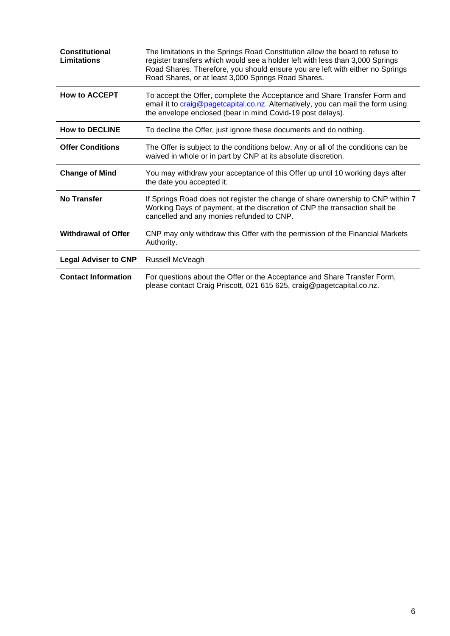| <b>Constitutional</b><br>Limitations | The limitations in the Springs Road Constitution allow the board to refuse to<br>register transfers which would see a holder left with less than 3,000 Springs<br>Road Shares. Therefore, you should ensure you are left with either no Springs<br>Road Shares, or at least 3,000 Springs Road Shares. |  |
|--------------------------------------|--------------------------------------------------------------------------------------------------------------------------------------------------------------------------------------------------------------------------------------------------------------------------------------------------------|--|
| <b>How to ACCEPT</b>                 | To accept the Offer, complete the Acceptance and Share Transfer Form and<br>email it to craig@pagetcapital.co.nz. Alternatively, you can mail the form using<br>the envelope enclosed (bear in mind Covid-19 post delays).                                                                             |  |
| <b>How to DECLINE</b>                | To decline the Offer, just ignore these documents and do nothing.                                                                                                                                                                                                                                      |  |
| <b>Offer Conditions</b>              | The Offer is subject to the conditions below. Any or all of the conditions can be<br>waived in whole or in part by CNP at its absolute discretion.                                                                                                                                                     |  |
| <b>Change of Mind</b>                | You may withdraw your acceptance of this Offer up until 10 working days after<br>the date you accepted it.                                                                                                                                                                                             |  |
| <b>No Transfer</b>                   | If Springs Road does not register the change of share ownership to CNP within 7<br>Working Days of payment, at the discretion of CNP the transaction shall be<br>cancelled and any monies refunded to CNP.                                                                                             |  |
| <b>Withdrawal of Offer</b>           | CNP may only withdraw this Offer with the permission of the Financial Markets<br>Authority.                                                                                                                                                                                                            |  |
| <b>Legal Adviser to CNP</b>          | Russell McVeagh                                                                                                                                                                                                                                                                                        |  |
| <b>Contact Information</b>           | For questions about the Offer or the Acceptance and Share Transfer Form,<br>please contact Craig Priscott, 021 615 625, craig@pagetcapital.co.nz.                                                                                                                                                      |  |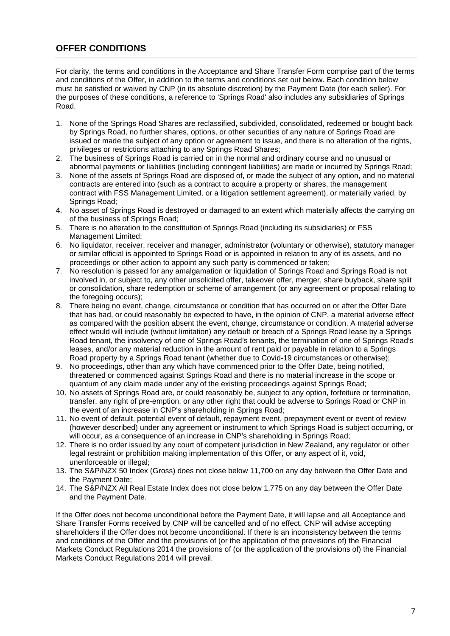# **OFFER CONDITIONS**

For clarity, the terms and conditions in the Acceptance and Share Transfer Form comprise part of the terms and conditions of the Offer, in addition to the terms and conditions set out below. Each condition below must be satisfied or waived by CNP (in its absolute discretion) by the Payment Date (for each seller). For the purposes of these conditions, a reference to 'Springs Road' also includes any subsidiaries of Springs Road.

- 1. None of the Springs Road Shares are reclassified, subdivided, consolidated, redeemed or bought back by Springs Road, no further shares, options, or other securities of any nature of Springs Road are issued or made the subject of any option or agreement to issue, and there is no alteration of the rights, privileges or restrictions attaching to any Springs Road Shares;
- 2. The business of Springs Road is carried on in the normal and ordinary course and no unusual or abnormal payments or liabilities (including contingent liabilities) are made or incurred by Springs Road;
- 3. None of the assets of Springs Road are disposed of, or made the subject of any option, and no material contracts are entered into (such as a contract to acquire a property or shares, the management contract with FSS Management Limited, or a litigation settlement agreement), or materially varied, by Springs Road;
- 4. No asset of Springs Road is destroyed or damaged to an extent which materially affects the carrying on of the business of Springs Road;
- 5. There is no alteration to the constitution of Springs Road (including its subsidiaries) or FSS Management Limited;
- 6. No liquidator, receiver, receiver and manager, administrator (voluntary or otherwise), statutory manager or similar official is appointed to Springs Road or is appointed in relation to any of its assets, and no proceedings or other action to appoint any such party is commenced or taken;
- 7. No resolution is passed for any amalgamation or liquidation of Springs Road and Springs Road is not involved in, or subject to, any other unsolicited offer, takeover offer, merger, share buyback, share split or consolidation, share redemption or scheme of arrangement (or any agreement or proposal relating to the foregoing occurs);
- 8. There being no event, change, circumstance or condition that has occurred on or after the Offer Date that has had, or could reasonably be expected to have, in the opinion of CNP, a material adverse effect as compared with the position absent the event, change, circumstance or condition. A material adverse effect would will include (without limitation) any default or breach of a Springs Road lease by a Springs Road tenant, the insolvency of one of Springs Road's tenants, the termination of one of Springs Road's leases, and/or any material reduction in the amount of rent paid or payable in relation to a Springs Road property by a Springs Road tenant (whether due to Covid-19 circumstances or otherwise);
- 9. No proceedings, other than any which have commenced prior to the Offer Date, being notified, threatened or commenced against Springs Road and there is no material increase in the scope or quantum of any claim made under any of the existing proceedings against Springs Road;
- 10. No assets of Springs Road are, or could reasonably be, subject to any option, forfeiture or termination, transfer, any right of pre-emption, or any other right that could be adverse to Springs Road or CNP in the event of an increase in CNP's shareholding in Springs Road;
- 11. No event of default, potential event of default, repayment event, prepayment event or event of review (however described) under any agreement or instrument to which Springs Road is subject occurring, or will occur, as a consequence of an increase in CNP's shareholding in Springs Road;
- 12. There is no order issued by any court of competent jurisdiction in New Zealand, any regulator or other legal restraint or prohibition making implementation of this Offer, or any aspect of it, void, unenforceable or illegal;
- 13. The S&P/NZX 50 Index (Gross) does not close below 11,700 on any day between the Offer Date and the Payment Date;
- 14. The S&P/NZX All Real Estate Index does not close below 1,775 on any day between the Offer Date and the Payment Date.

If the Offer does not become unconditional before the Payment Date, it will lapse and all Acceptance and Share Transfer Forms received by CNP will be cancelled and of no effect. CNP will advise accepting shareholders if the Offer does not become unconditional. If there is an inconsistency between the terms and conditions of the Offer and the provisions of (or the application of the provisions of) the Financial Markets Conduct Regulations 2014 the provisions of (or the application of the provisions of) the Financial Markets Conduct Regulations 2014 will prevail.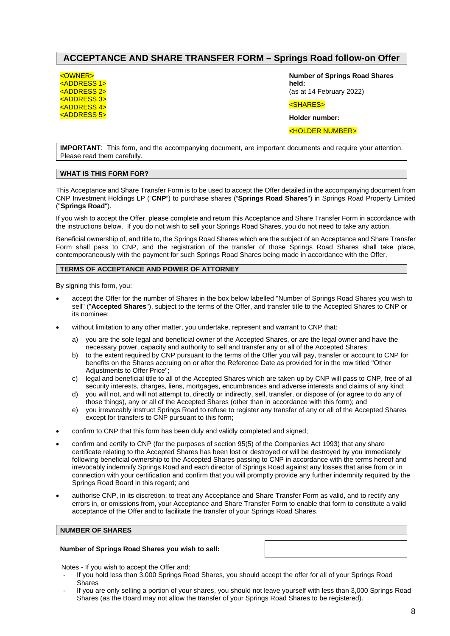# **ACCEPTANCE AND SHARE TRANSFER FORM – Springs Road follow-on Offer**

<OWNER> <ADDRESS 1>

<ADDRESS 2> <ADDRESS 3> <ADDRESS 4> <ADDRESS 5>

**Number of Springs Road Shares held:**

(as at 14 February 2022)

<SHARES>

**Holder number:** 

<HOLDER NUMBER>

**IMPORTANT**: This form, and the accompanying document, are important documents and require your attention. Please read them carefully.

#### **WHAT IS THIS FORM FOR?**

This Acceptance and Share Transfer Form is to be used to accept the Offer detailed in the accompanying document from CNP Investment Holdings LP ("**CNP**") to purchase shares ("**Springs Road Shares**") in Springs Road Property Limited ("**Springs Road**").

If you wish to accept the Offer, please complete and return this Acceptance and Share Transfer Form in accordance with the instructions below. If you do not wish to sell your Springs Road Shares, you do not need to take any action.

Beneficial ownership of, and title to, the Springs Road Shares which are the subject of an Acceptance and Share Transfer Form shall pass to CNP, and the registration of the transfer of those Springs Road Shares shall take place, contemporaneously with the payment for such Springs Road Shares being made in accordance with the Offer.

#### **TERMS OF ACCEPTANCE AND POWER OF ATTORNEY**

By signing this form, you:

- accept the Offer for the number of Shares in the box below labelled "Number of Springs Road Shares you wish to sell" ("**Accepted Shares**"), subject to the terms of the Offer, and transfer title to the Accepted Shares to CNP or its nominee;
- without limitation to any other matter, you undertake, represent and warrant to CNP that:
	- a) you are the sole legal and beneficial owner of the Accepted Shares, or are the legal owner and have the necessary power, capacity and authority to sell and transfer any or all of the Accepted Shares;
	- b) to the extent required by CNP pursuant to the terms of the Offer you will pay, transfer or account to CNP for benefits on the Shares accruing on or after the Reference Date as provided for in the row titled "Other Adjustments to Offer Price":
	- c) legal and beneficial title to all of the Accepted Shares which are taken up by CNP will pass to CNP, free of all security interests, charges, liens, mortgages, encumbrances and adverse interests and claims of any kind;
	- d) you will not, and will not attempt to, directly or indirectly, sell, transfer, or dispose of (or agree to do any of those things), any or all of the Accepted Shares (other than in accordance with this form); and
	- e) you irrevocably instruct Springs Road to refuse to register any transfer of any or all of the Accepted Shares except for transfers to CNP pursuant to this form;
- confirm to CNP that this form has been duly and validly completed and signed;
- confirm and certify to CNP (for the purposes of section 95(5) of the Companies Act 1993) that any share certificate relating to the Accepted Shares has been lost or destroyed or will be destroyed by you immediately following beneficial ownership to the Accepted Shares passing to CNP in accordance with the terms hereof and irrevocably indemnify Springs Road and each director of Springs Road against any losses that arise from or in connection with your certification and confirm that you will promptly provide any further indemnity required by the Springs Road Board in this regard; and
- authorise CNP, in its discretion, to treat any Acceptance and Share Transfer Form as valid, and to rectify any errors in, or omissions from, your Acceptance and Share Transfer Form to enable that form to constitute a valid acceptance of the Offer and to facilitate the transfer of your Springs Road Shares.

#### **NUMBER OF SHARES**

#### **Number of Springs Road Shares you wish to sell:**

Notes - If you wish to accept the Offer and:

- If you hold less than 3,000 Springs Road Shares, you should accept the offer for all of your Springs Road **Shares**
- If you are only selling a portion of your shares, you should not leave yourself with less than 3,000 Springs Road Shares (as the Board may not allow the transfer of your Springs Road Shares to be registered).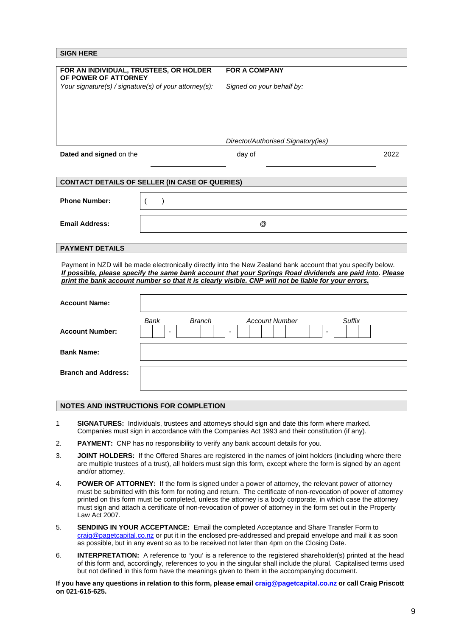| <b>SIGN HERE</b>                                               |                                    |      |  |
|----------------------------------------------------------------|------------------------------------|------|--|
| FOR AN INDIVIDUAL, TRUSTEES, OR HOLDER<br>OF POWER OF ATTORNEY | <b>FOR A COMPANY</b>               |      |  |
| Your signature(s) / signature(s) of your attorney(s):          | Signed on your behalf by:          |      |  |
|                                                                | Director/Authorised Signatory(ies) |      |  |
| Dated and signed on the                                        | day of                             | 2022 |  |

| <b>CONTACT DETAILS OF SELLER (IN CASE OF QUERIES)</b> |                      |  |  |  |
|-------------------------------------------------------|----------------------|--|--|--|
| <b>Phone Number:</b>                                  |                      |  |  |  |
| <b>Email Address:</b>                                 | $^{\textregistered}$ |  |  |  |

#### **PAYMENT DETAILS**

Payment in NZD will be made electronically directly into the New Zealand bank account that you specify below. *If possible, please specify the same bank account that your Springs Road dividends are paid into. Please print the bank account number so that it is clearly visible. CNP will not be liable for your errors.* 

| <b>Account Name:</b>       |                                                                                                                                              |
|----------------------------|----------------------------------------------------------------------------------------------------------------------------------------------|
| <b>Account Number:</b>     | Bank<br><b>Branch</b><br><b>Account Number</b><br>Suffix<br>$\overline{\phantom{a}}$<br>$\overline{\phantom{a}}$<br>$\overline{\phantom{0}}$ |
| <b>Bank Name:</b>          |                                                                                                                                              |
| <b>Branch and Address:</b> |                                                                                                                                              |

#### **NOTES AND INSTRUCTIONS FOR COMPLETION**

- 1 **SIGNATURES:** Individuals, trustees and attorneys should sign and date this form where marked. Companies must sign in accordance with the Companies Act 1993 and their constitution (if any).
- 2. **PAYMENT:** CNP has no responsibility to verify any bank account details for you.
- 3. **JOINT HOLDERS:** If the Offered Shares are registered in the names of joint holders (including where there are multiple trustees of a trust), all holders must sign this form, except where the form is signed by an agent and/or attorney.
- 4. **POWER OF ATTORNEY:** If the form is signed under a power of attorney, the relevant power of attorney must be submitted with this form for noting and return. The certificate of non-revocation of power of attorney printed on this form must be completed, unless the attorney is a body corporate, in which case the attorney must sign and attach a certificate of non-revocation of power of attorney in the form set out in the Property Law Act 2007.
- 5. **SENDING IN YOUR ACCEPTANCE:** Email the completed Acceptance and Share Transfer Form to craig@pagetcapital.co.nz or put it in the enclosed pre-addressed and prepaid envelope and mail it as soon as possible, but in any event so as to be received not later than 4pm on the Closing Date.
- 6. **INTERPRETATION:** A reference to "you' is a reference to the registered shareholder(s) printed at the head of this form and, accordingly, references to you in the singular shall include the plural. Capitalised terms used but not defined in this form have the meanings given to them in the accompanying document.

**If you have any questions in relation to this form, please email craig@pagetcapital.co.nz or call Craig Priscott on 021-615-625.**